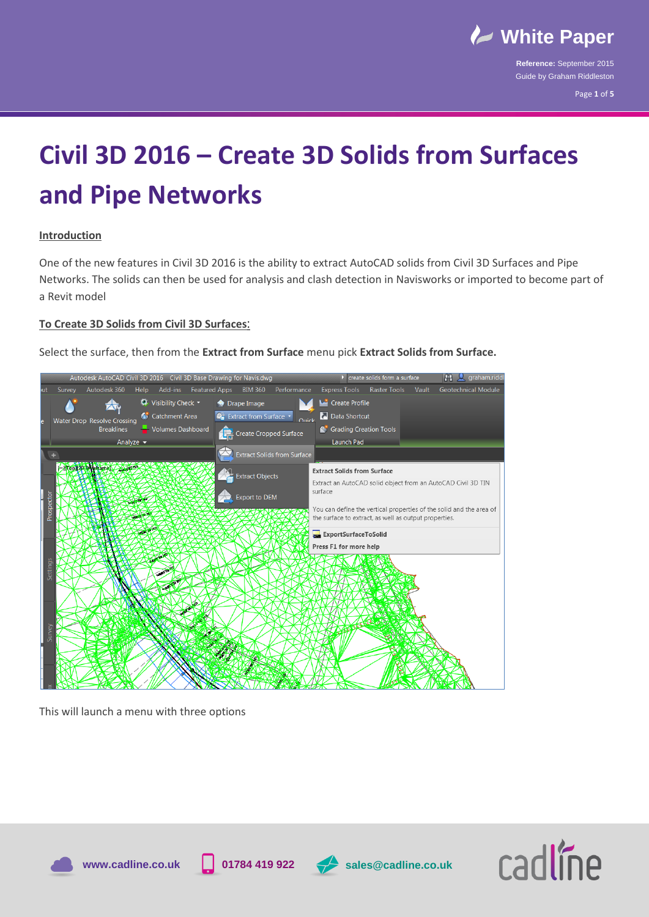

Page **1** of **5**

## **Civil 3D 2016 – Create 3D Solids from Surfaces and Pipe Networks**

## **Introduction**

One of the new features in Civil 3D 2016 is the ability to extract AutoCAD solids from Civil 3D Surfaces and Pipe Networks. The solids can then be used for analysis and clash detection in Navisworks or imported to become part of a Revit model

## **To Create 3D Solids from Civil 3D Surfaces**:

Select the surface, then from the **Extract from Surface** menu pick **Extract Solids from Surface.** 



This will launch a menu with three options





**www.cadline.co.uk 01784 419 922 sales@cadline.co.uk**

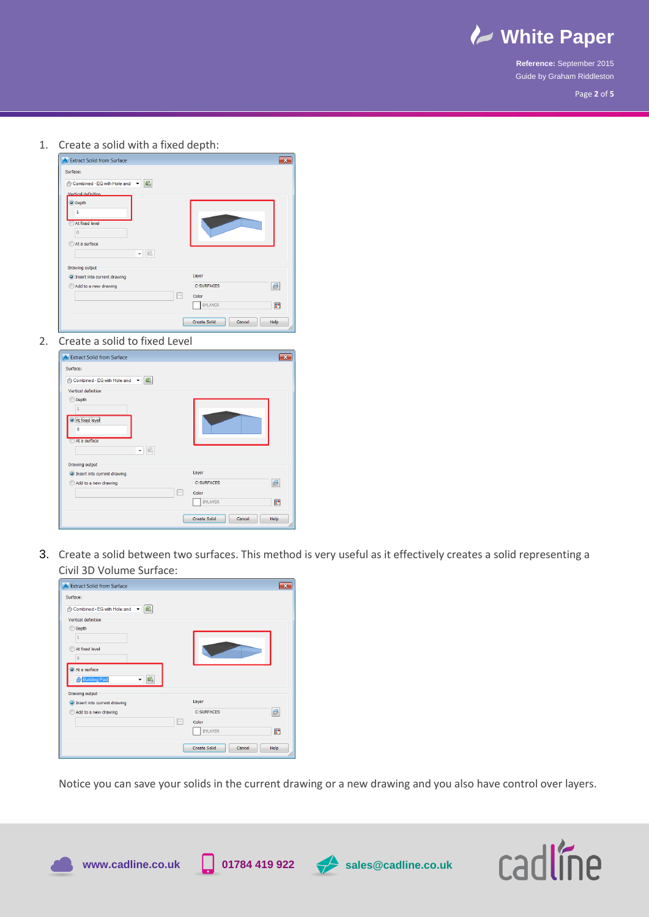

Page **2** of **5**

1. Create a solid with a fixed depth:

| <b>A</b> Extract Solid from Surface                                                                                                 |                                                                                 | ж                       |
|-------------------------------------------------------------------------------------------------------------------------------------|---------------------------------------------------------------------------------|-------------------------|
| Surface:<br>œ,<br>Combined - EG with Hole and<br>$\cdot$                                                                            |                                                                                 |                         |
| Vertical definition<br>O Depth<br>1<br>At fixed level<br>$\overline{0}$<br>At a surface<br>$\blacksquare$<br>$\overline{\mathbf v}$ |                                                                                 |                         |
| <b>Drawing output</b><br>O Insert into current drawing<br>Add to a new drawing                                                      | Layer<br><b>C-SURFACES</b><br>$\lvert \cdots \rvert$<br>Color<br><b>BYLAYER</b> | $\beta$<br>$\mathbb{F}$ |
|                                                                                                                                     | <b>Create Solid</b><br>Cancel                                                   | Help<br>h               |

2. Create a solid to fixed Level

| <b>A</b> Extract Solid from Surface                    | $\overline{\mathbf{x}}$               |
|--------------------------------------------------------|---------------------------------------|
| Surface:                                               |                                       |
| Combined - EG with Hole and $\bullet$ $\blacksquare_k$ |                                       |
| Vertical definition                                    |                                       |
| O Depth                                                |                                       |
| At fixed level<br>0                                    |                                       |
| At a surface<br> ■<br>$\overline{\phantom{a}}$         |                                       |
| <b>Drawing output</b>                                  |                                       |
| O Insert into current drawing                          | Layer                                 |
| Add to a new drawing                                   | $\mathcal{B}$<br><b>C-SURFACES</b>    |
|                                                        | $\overline{\cdots}$<br>Color          |
|                                                        | $\mathbb{R}^n$<br><b>BYLAYER</b>      |
|                                                        | <b>Create Solid</b><br>Cancel<br>Help |

3. Create a solid between two surfaces. This method is very useful as it effectively creates a solid representing a Civil 3D Volume Surface:

| <b>A</b> Extract Solid from Surface                                                                                                                                                               |                                                                                                                                             |
|---------------------------------------------------------------------------------------------------------------------------------------------------------------------------------------------------|---------------------------------------------------------------------------------------------------------------------------------------------|
| Surface:<br>A Combined - EG with Hole and ▼ G<br>Vertical definition<br>Depth<br>$\odot$<br>ĭ<br>At fixed level<br>$\bf{0}$<br>At a surface<br><b>Building Pad</b><br>G,<br><b>Drawing output</b> |                                                                                                                                             |
| O Insert into current drawing<br>Add to a new drawing<br>$\overline{\cdots}$                                                                                                                      | Layer<br>$\epsilon$<br><b>C-SURFACES</b><br>Color<br><b>BYLAYER</b><br>$\mathbb{R}^{\bullet}$<br><b>Create Solid</b><br>Help<br>Cancel<br>a |

Notice you can save your solids in the current drawing or a new drawing and you also have control over layers.







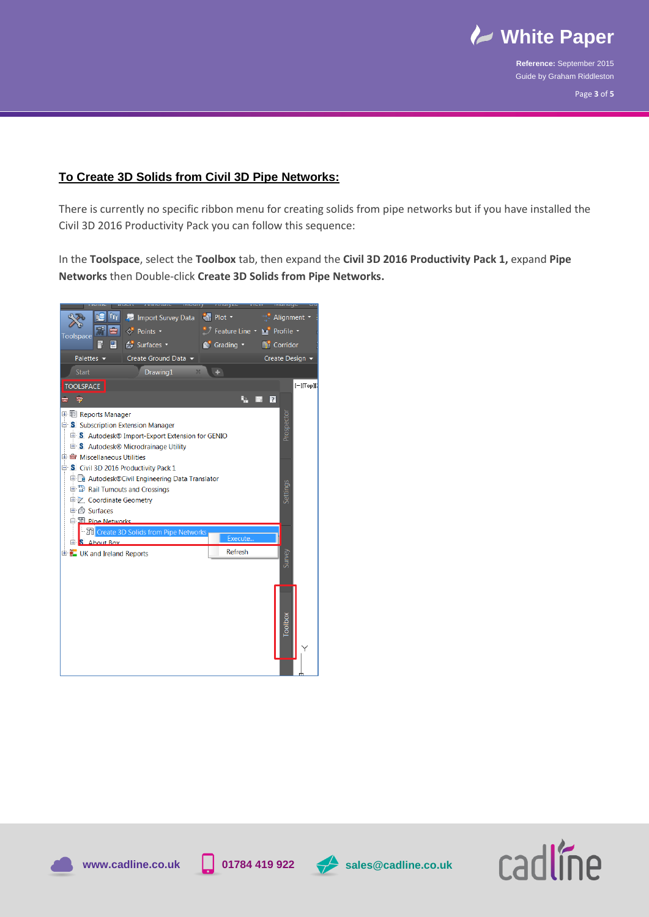

## **To Create 3D Solids from Civil 3D Pipe Networks:**

There is currently no specific ribbon menu for creating solids from pipe networks but if you have installed the Civil 3D 2016 Productivity Pack you can follow this sequence:

In the **Toolspace**, select the **Toolbox** tab, then expand the **Civil 3D 2016 Productivity Pack 1,** expand **Pipe Networks** then Double-click **Create 3D Solids from Pipe Networks.**







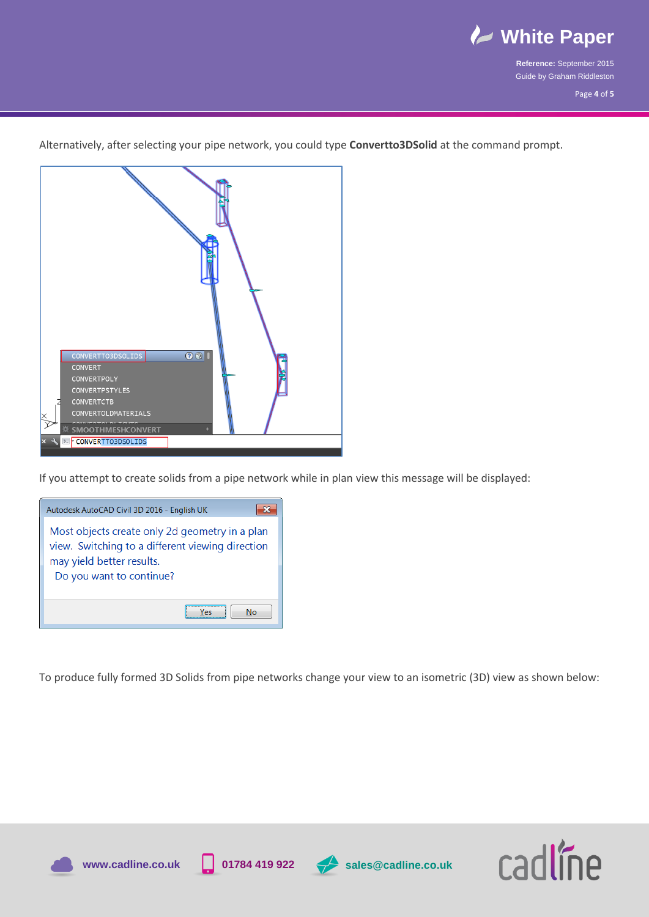

Alternatively, after selecting your pipe network, you could type **Convertto3DSolid** at the command prompt.



If you attempt to create solids from a pipe network while in plan view this message will be displayed:



To produce fully formed 3D Solids from pipe networks change your view to an isometric (3D) view as shown below:







**www.cadline.co.uk 01784 419 922 sales@cadline.co.uk**